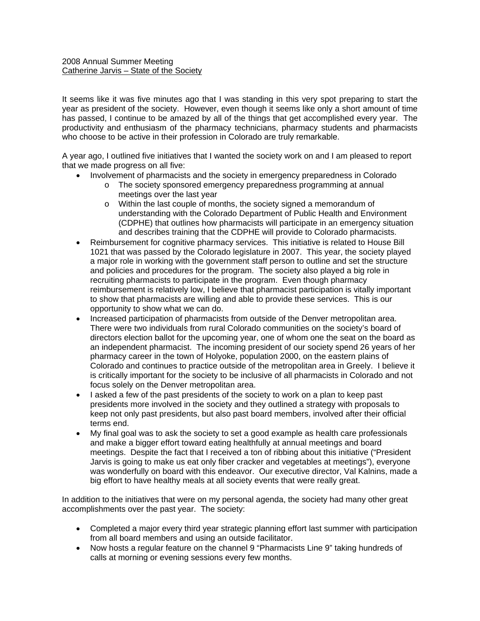It seems like it was five minutes ago that I was standing in this very spot preparing to start the year as president of the society. However, even though it seems like only a short amount of time has passed, I continue to be amazed by all of the things that get accomplished every year. The productivity and enthusiasm of the pharmacy technicians, pharmacy students and pharmacists who choose to be active in their profession in Colorado are truly remarkable.

A year ago, I outlined five initiatives that I wanted the society work on and I am pleased to report that we made progress on all five:

- Involvement of pharmacists and the society in emergency preparedness in Colorado
	- o The society sponsored emergency preparedness programming at annual meetings over the last year
	- o Within the last couple of months, the society signed a memorandum of understanding with the Colorado Department of Public Health and Environment (CDPHE) that outlines how pharmacists will participate in an emergency situation and describes training that the CDPHE will provide to Colorado pharmacists.
- Reimbursement for cognitive pharmacy services. This initiative is related to House Bill 1021 that was passed by the Colorado legislature in 2007. This year, the society played a major role in working with the government staff person to outline and set the structure and policies and procedures for the program. The society also played a big role in recruiting pharmacists to participate in the program. Even though pharmacy reimbursement is relatively low, I believe that pharmacist participation is vitally important to show that pharmacists are willing and able to provide these services. This is our opportunity to show what we can do.
- Increased participation of pharmacists from outside of the Denver metropolitan area. There were two individuals from rural Colorado communities on the society's board of directors election ballot for the upcoming year, one of whom one the seat on the board as an independent pharmacist. The incoming president of our society spend 26 years of her pharmacy career in the town of Holyoke, population 2000, on the eastern plains of Colorado and continues to practice outside of the metropolitan area in Greely. I believe it is critically important for the society to be inclusive of all pharmacists in Colorado and not focus solely on the Denver metropolitan area.
- I asked a few of the past presidents of the society to work on a plan to keep past presidents more involved in the society and they outlined a strategy with proposals to keep not only past presidents, but also past board members, involved after their official terms end.
- My final goal was to ask the society to set a good example as health care professionals and make a bigger effort toward eating healthfully at annual meetings and board meetings. Despite the fact that I received a ton of ribbing about this initiative ("President Jarvis is going to make us eat only fiber cracker and vegetables at meetings"), everyone was wonderfully on board with this endeavor. Our executive director, Val Kalnins, made a big effort to have healthy meals at all society events that were really great.

In addition to the initiatives that were on my personal agenda, the society had many other great accomplishments over the past year. The society:

- Completed a major every third year strategic planning effort last summer with participation from all board members and using an outside facilitator.
- Now hosts a regular feature on the channel 9 "Pharmacists Line 9" taking hundreds of calls at morning or evening sessions every few months.